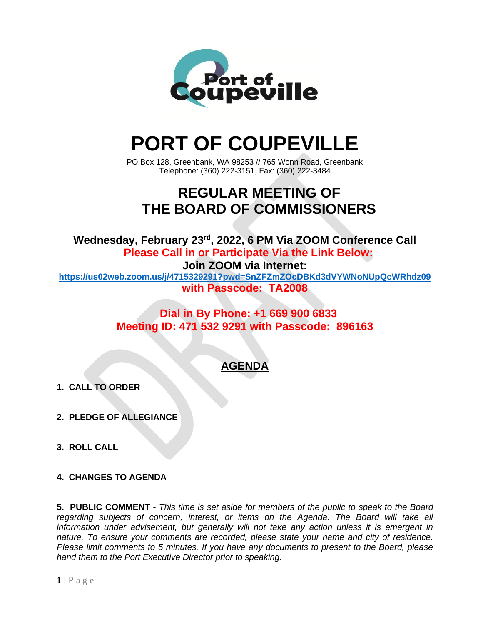

# **PORT OF COUPEVILLE**

PO Box 128, Greenbank, WA 98253 // 765 Wonn Road, Greenbank Telephone: (360) 222-3151, Fax: (360) 222-3484

# **REGULAR MEETING OF THE BOARD OF COMMISSIONERS**

**Wednesday, February 23 rd , 2022, 6 PM Via ZOOM Conference Call Please Call in or Participate Via the Link Below:**

**Join ZOOM via Internet:**

**<https://us02web.zoom.us/j/4715329291?pwd=SnZFZmZOcDBKd3dVYWNoNUpQcWRhdz09> with Passcode: TA2008**

### **Dial in By Phone: +1 669 900 6833 Meeting ID: 471 532 9291 with Passcode: 896163**

## **AGENDA**

- **1. CALL TO ORDER**
- **2. PLEDGE OF ALLEGIANCE**
- **3. ROLL CALL**
- **4. CHANGES TO AGENDA**

**5. PUBLIC COMMENT -** *This time is set aside for members of the public to speak to the Board regarding subjects of concern, interest, or items on the Agenda. The Board will take all information under advisement, but generally will not take any action unless it is emergent in nature. To ensure your comments are recorded, please state your name and city of residence. Please limit comments to 5 minutes. If you have any documents to present to the Board, please hand them to the Port Executive Director prior to speaking.*